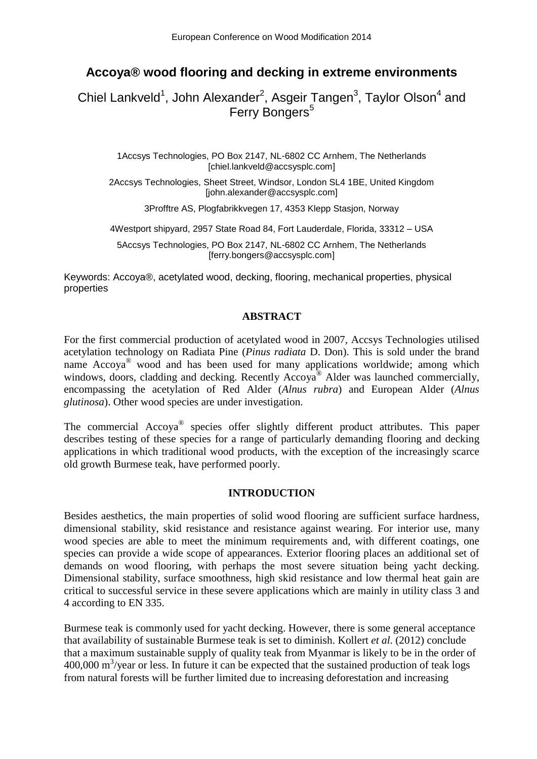# **Accoya® wood flooring and decking in extreme environments**

Chiel Lankveld<sup>1</sup>, John Alexander<sup>2</sup>, Asgeir Tangen<sup>3</sup>, Taylor Olson<sup>4</sup> and Ferry Bongers<sup>5</sup>

> 1Accsys Technologies, PO Box 2147, NL-6802 CC Arnhem, The Netherlands [chiel.lankveld@accsysplc.com]

2Accsys Technologies, Sheet Street, Windsor, London SL4 1BE, United Kingdom [john.alexander@accsysplc.com]

3Profftre AS, Plogfabrikkvegen 17, 4353 Klepp Stasjon, Norway

4Westport shipyard, 2957 State Road 84, Fort Lauderdale, Florida, 33312 – USA

5Accsys Technologies, PO Box 2147, NL-6802 CC Arnhem, The Netherlands [ferry.bongers@accsysplc.com]

Keywords: Accoya®, acetylated wood, decking, flooring, mechanical properties, physical properties

### **ABSTRACT**

For the first commercial production of acetylated wood in 2007, Accsys Technologies utilised acetylation technology on Radiata Pine (*Pinus radiata* D. Don). This is sold under the brand name Accoya<sup>®</sup> wood and has been used for many applications worldwide; among which windows, doors, cladding and decking. Recently Accoya<sup>®</sup> Alder was launched commercially, encompassing the acetylation of Red Alder (*Alnus rubra*) and European Alder (*Alnus glutinosa*). Other wood species are under investigation.

The commercial Accoya<sup>®</sup> species offer slightly different product attributes. This paper describes testing of these species for a range of particularly demanding flooring and decking applications in which traditional wood products, with the exception of the increasingly scarce old growth Burmese teak, have performed poorly.

### **INTRODUCTION**

Besides aesthetics, the main properties of solid wood flooring are sufficient surface hardness, dimensional stability, skid resistance and resistance against wearing. For interior use, many wood species are able to meet the minimum requirements and, with different coatings, one species can provide a wide scope of appearances. Exterior flooring places an additional set of demands on wood flooring, with perhaps the most severe situation being yacht decking. Dimensional stability, surface smoothness, high skid resistance and low thermal heat gain are critical to successful service in these severe applications which are mainly in utility class 3 and 4 according to EN 335.

Burmese teak is commonly used for yacht decking. However, there is some general acceptance that availability of sustainable Burmese teak is set to diminish. Kollert *et al*. (2012) conclude that a maximum sustainable supply of quality teak from Myanmar is likely to be in the order of 400,000 m<sup>3</sup>/year or less. In future it can be expected that the sustained production of teak logs from natural forests will be further limited due to increasing deforestation and increasing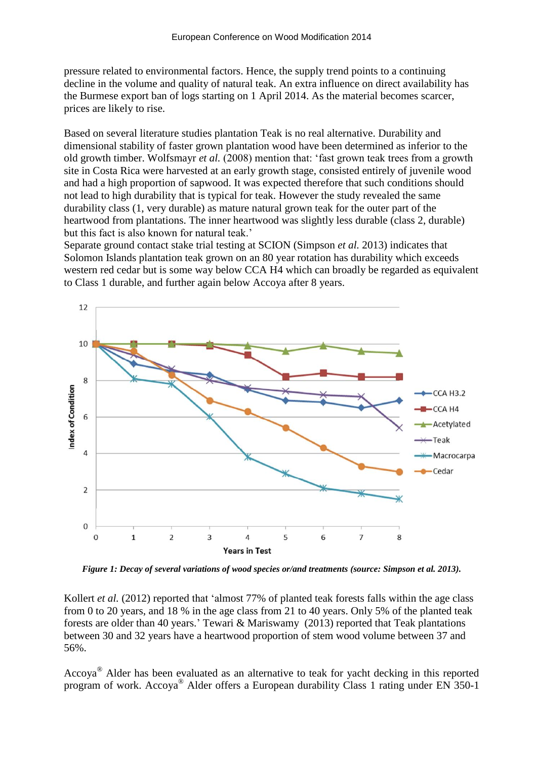pressure related to environmental factors. Hence, the supply trend points to a continuing decline in the volume and quality of natural teak. An extra influence on direct availability has the Burmese export ban of logs starting on 1 April 2014. As the material becomes scarcer, prices are likely to rise.

Based on several literature studies plantation Teak is no real alternative. Durability and dimensional stability of faster grown plantation wood have been determined as inferior to the old growth timber. Wolfsmayr *et al.* (2008) mention that: 'fast grown teak trees from a growth site in Costa Rica were harvested at an early growth stage, consisted entirely of juvenile wood and had a high proportion of sapwood. It was expected therefore that such conditions should not lead to high durability that is typical for teak. However the study revealed the same durability class (1, very durable) as mature natural grown teak for the outer part of the heartwood from plantations. The inner heartwood was slightly less durable (class 2, durable) but this fact is also known for natural teak.'

Separate ground contact stake trial testing at SCION (Simpson *et al.* 2013) indicates that Solomon Islands plantation teak grown on an 80 year rotation has durability which exceeds western red cedar but is some way below CCA H4 which can broadly be regarded as equivalent to Class 1 durable, and further again below Accoya after 8 years.



*Figure 1: Decay of several variations of wood species or/and treatments (source: Simpson et al. 2013).*

Kollert *et al.* (2012) reported that 'almost 77% of planted teak forests falls within the age class from 0 to 20 years, and 18 % in the age class from 21 to 40 years. Only 5% of the planted teak forests are older than 40 years.' Tewari & Mariswamy (2013) reported that Teak plantations between 30 and 32 years have a heartwood proportion of stem wood volume between 37 and 56%.

Accoya® Alder has been evaluated as an alternative to teak for yacht decking in this reported program of work. Accoya® Alder offers a European durability Class 1 rating under EN 350-1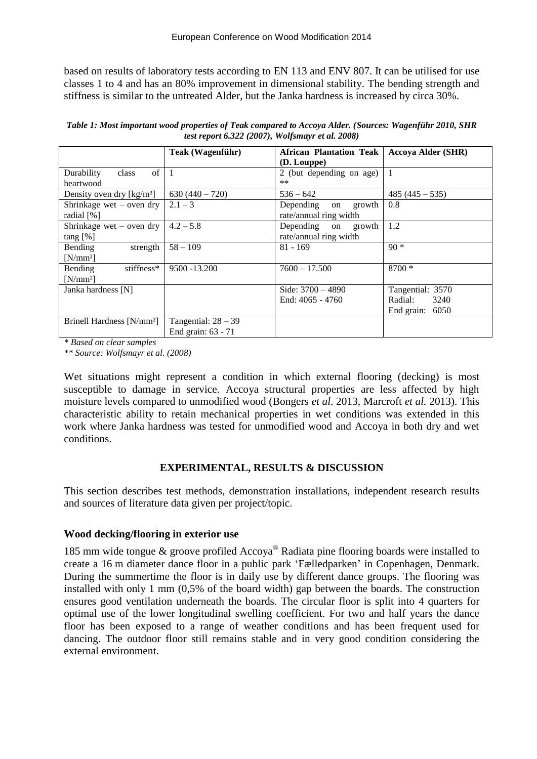based on results of laboratory tests according to EN 113 and ENV 807. It can be utilised for use classes 1 to 4 and has an 80% improvement in dimensional stability. The bending strength and stiffness is similar to the untreated Alder, but the Janka hardness is increased by circa 30%.

*Table 1: Most important wood properties of Teak compared to Accoya Alder. (Sources: Wagenführ 2010, SHR test report 6.322 (2007), Wolfsmayr et al. 2008)*

|                                                | Teak (Wagenführ)      | <b>African Plantation Teak</b> | <b>Accoya Alder (SHR)</b> |
|------------------------------------------------|-----------------------|--------------------------------|---------------------------|
|                                                |                       | (D. Louppe)                    |                           |
| of<br>class<br>Durability                      | $\overline{1}$        | 2 (but depending on age)       | 1                         |
| heartwood                                      |                       | $***$                          |                           |
| Density oven dry $\lceil \text{kg/m}^3 \rceil$ | $630(440-720)$        | $536 - 642$                    | $485(445-535)$            |
| Shrinkage wet $-$ oven dry                     | $2.1 - 3$             | Depending<br>growth<br>on      | 0.8                       |
| radial $[\%]$                                  |                       | rate/annual ring width         |                           |
| Shrinkage wet – oven dry                       | $4.2 - 5.8$           | Depending on<br>growth         | 1.2                       |
| $tan g$ [%]                                    |                       | rate/annual ring width         |                           |
| <b>Bending</b><br>strength                     | $58 - 109$            | $81 - 169$                     | $90*$                     |
| $[N/mm^2]$                                     |                       |                                |                           |
| Bending<br>stiffness*                          | 9500 - 13.200         | $7600 - 17.500$                | $8700*$                   |
| $[N/mm^2]$                                     |                       |                                |                           |
| Janka hardness [N]                             |                       | Side: $3700 - 4890$            | Tangential: 3570          |
|                                                |                       | End: 4065 - 4760               | Radial:<br>3240           |
|                                                |                       |                                | End grain: 6050           |
| Brinell Hardness [N/mm <sup>2</sup> ]          | Tangential: $28 - 39$ |                                |                           |
|                                                | End grain: 63 - 71    |                                |                           |

*\* Based on clear samples*

*\*\* Source: Wolfsmayr et al. (2008)*

Wet situations might represent a condition in which external flooring (decking) is most susceptible to damage in service. Accoya structural properties are less affected by high moisture levels compared to unmodified wood (Bongers *et al*. 2013, Marcroft *et al.* 2013). This characteristic ability to retain mechanical properties in wet conditions was extended in this work where Janka hardness was tested for unmodified wood and Accoya in both dry and wet conditions.

# **EXPERIMENTAL, RESULTS & DISCUSSION**

This section describes test methods, demonstration installations, independent research results and sources of literature data given per project/topic.

### **Wood decking/flooring in exterior use**

185 mm wide tongue  $\&$  groove profiled Accoya<sup>®</sup> Radiata pine flooring boards were installed to create a 16 m diameter dance floor in a public park 'Fælledparken' in Copenhagen, Denmark. During the summertime the floor is in daily use by different dance groups. The flooring was installed with only 1 mm (0,5% of the board width) gap between the boards. The construction ensures good ventilation underneath the boards. The circular floor is split into 4 quarters for optimal use of the lower longitudinal swelling coefficient. For two and half years the dance floor has been exposed to a range of weather conditions and has been frequent used for dancing. The outdoor floor still remains stable and in very good condition considering the external environment.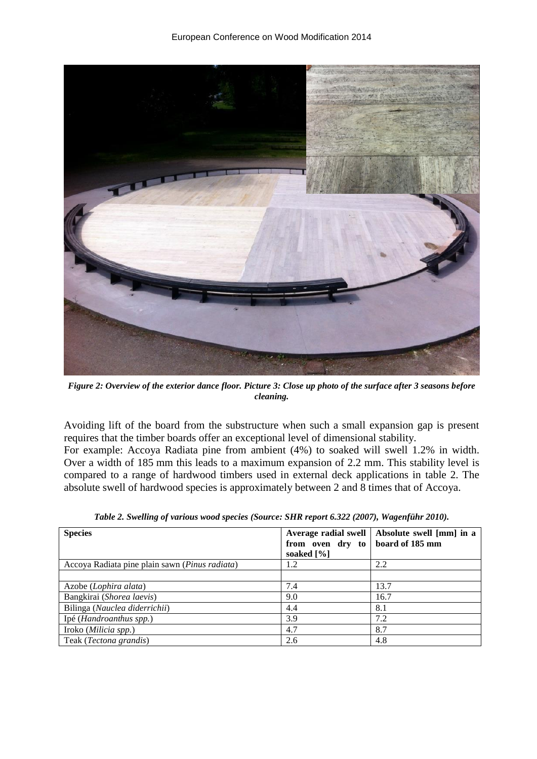

*Figure 2: Overview of the exterior dance floor. Picture 3: Close up photo of the surface after 3 seasons before cleaning.*

Avoiding lift of the board from the substructure when such a small expansion gap is present requires that the timber boards offer an exceptional level of dimensional stability.

For example: Accoya Radiata pine from ambient (4%) to soaked will swell 1.2% in width. Over a width of 185 mm this leads to a maximum expansion of 2.2 mm. This stability level is compared to a range of hardwood timbers used in external deck applications in table 2. The absolute swell of hardwood species is approximately between 2 and 8 times that of Accoya.

| <b>Species</b>                                          | Average radial swell<br>from oven dry to<br>soaked $[\%]$ | Absolute swell [mm] in a<br>board of 185 mm |
|---------------------------------------------------------|-----------------------------------------------------------|---------------------------------------------|
| Accoya Radiata pine plain sawn ( <i>Pinus radiata</i> ) | 1.2                                                       | 2.2                                         |
|                                                         |                                                           |                                             |
| Azobe ( <i>Lophira alata</i> )                          | 7.4                                                       | 13.7                                        |
| Bangkirai (Shorea laevis)                               | 9.0                                                       | 16.7                                        |
| Bilinga (Nauclea diderrichii)                           | 4.4                                                       | 8.1                                         |
| Ipé (Handroanthus spp.)                                 | 3.9                                                       | 7.2                                         |
| Iroko (Milicia spp.)                                    | 4.7                                                       | 8.7                                         |
| Teak (Tectona grandis)                                  | 2.6                                                       | 4.8                                         |

*Table 2. Swelling of various wood species (Source: SHR report 6.322 (2007), Wagenführ 2010).*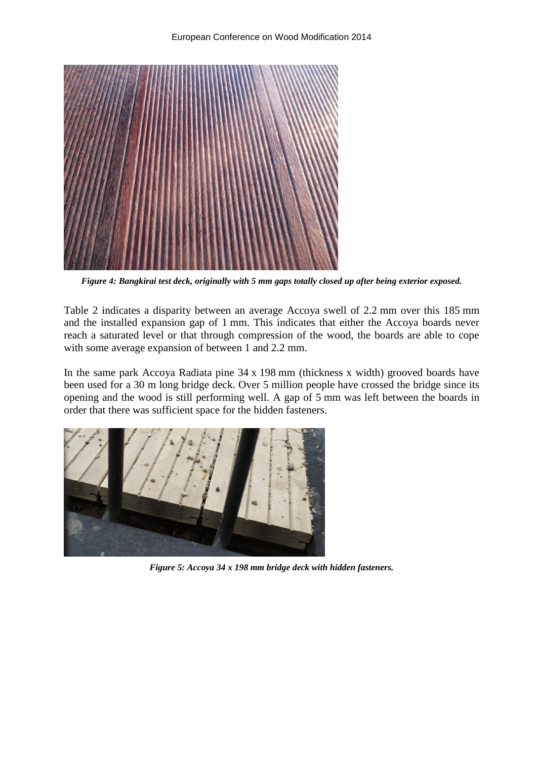

*Figure 4: Bangkirai test deck, originally with 5 mm gaps totally closed up after being exterior exposed.*

Table 2 indicates a disparity between an average Accoya swell of 2.2 mm over this 185 mm and the installed expansion gap of 1 mm. This indicates that either the Accoya boards never reach a saturated level or that through compression of the wood, the boards are able to cope with some average expansion of between 1 and 2.2 mm.

In the same park Accoya Radiata pine 34 x 198 mm (thickness x width) grooved boards have been used for a 30 m long bridge deck. Over 5 million people have crossed the bridge since its opening and the wood is still performing well. A gap of 5 mm was left between the boards in order that there was sufficient space for the hidden fasteners.



*Figure 5: Accoya 34 x 198 mm bridge deck with hidden fasteners.*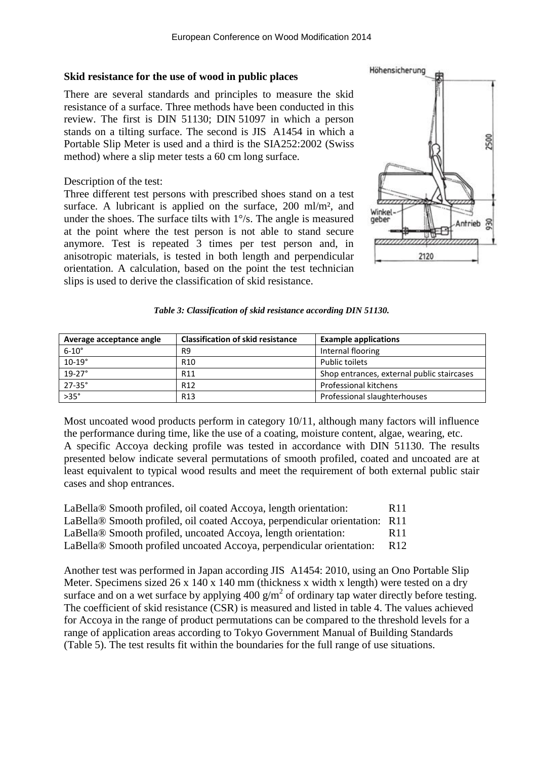#### **Skid resistance for the use of wood in public places**

There are several standards and principles to measure the skid resistance of a surface. Three methods have been conducted in this review. The first is DIN 51130; DIN 51097 in which a person stands on a tilting surface. The second is JIS A1454 in which a Portable Slip Meter is used and a third is the SIA252:2002 (Swiss method) where a slip meter tests a 60 cm long surface.

Description of the test:

Three different test persons with prescribed shoes stand on a test surface. A lubricant is applied on the surface, 200 ml/m<sup>2</sup>, and under the shoes. The surface tilts with 1°/s. The angle is measured at the point where the test person is not able to stand secure anymore. Test is repeated 3 times per test person and, in anisotropic materials, is tested in both length and perpendicular orientation. A calculation, based on the point the test technician slips is used to derive the classification of skid resistance.



#### *Table 3: Classification of skid resistance according DIN 51130.*

| Average acceptance angle | <b>Classification of skid resistance</b> | <b>Example applications</b>                |
|--------------------------|------------------------------------------|--------------------------------------------|
| $6-10^\circ$             | R9                                       | Internal flooring                          |
| $10-19^\circ$            | R <sub>10</sub>                          | Public toilets                             |
| $19-27^\circ$            | R <sub>11</sub>                          | Shop entrances, external public staircases |
| $27 - 35^{\circ}$        | R <sub>12</sub>                          | <b>Professional kitchens</b>               |
| $>35^\circ$              | R <sub>13</sub>                          | Professional slaughterhouses               |

Most uncoated wood products perform in category 10/11, although many factors will influence the performance during time, like the use of a coating, moisture content, algae, wearing, etc. A specific Accoya decking profile was tested in accordance with DIN 51130. The results presented below indicate several permutations of smooth profiled, coated and uncoated are at least equivalent to typical wood results and meet the requirement of both external public stair cases and shop entrances.

| LaBella <sup>®</sup> Smooth profiled, oil coated Accoya, length orientation: | R <sub>11</sub> |
|------------------------------------------------------------------------------|-----------------|
| LaBella® Smooth profiled, oil coated Accoya, perpendicular orientation: R11  |                 |
| LaBella® Smooth profiled, uncoated Accoya, length orientation:               | R <sub>11</sub> |
| LaBella® Smooth profiled uncoated Accoya, perpendicular orientation:         | R <sub>12</sub> |

Another test was performed in Japan according JIS A1454: 2010, using an Ono Portable Slip Meter. Specimens sized 26 x 140 x 140 mm (thickness x width x length) were tested on a dry surface and on a wet surface by applying  $400 \text{ g/m}^2$  of ordinary tap water directly before testing. The coefficient of skid resistance (CSR) is measured and listed in table 4. The values achieved for Accoya in the range of product permutations can be compared to the threshold levels for a range of application areas according to Tokyo Government Manual of Building Standards (Table 5). The test results fit within the boundaries for the full range of use situations.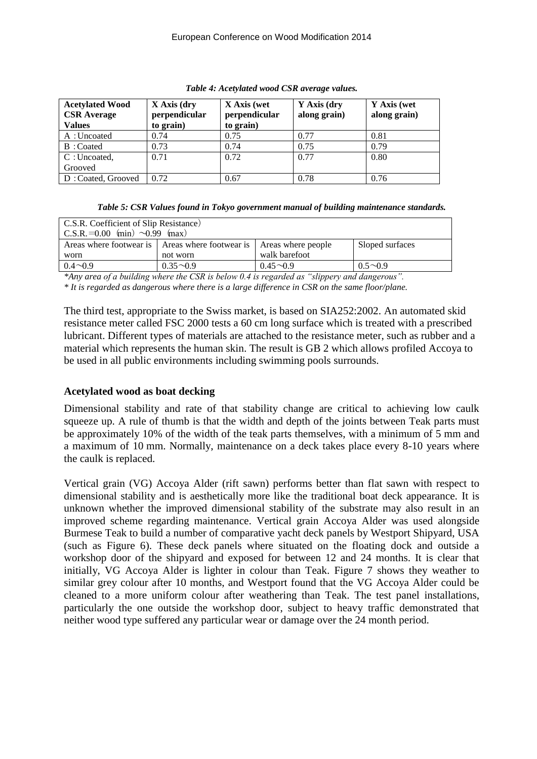| <b>Acetylated Wood</b><br><b>CSR</b> Average<br><b>Values</b> | X Axis (dry<br>perpendicular<br>to grain) | X Axis (wet<br>perpendicular<br>to grain) | Y Axis (dry<br>along grain) | Y Axis (wet<br>along grain) |
|---------------------------------------------------------------|-------------------------------------------|-------------------------------------------|-----------------------------|-----------------------------|
| A: Uncoated                                                   | 0.74                                      | 0.75                                      | 0.77                        | 0.81                        |
| B: Coated                                                     | 0.73                                      | 0.74                                      | 0.75                        | 0.79                        |
| C:Uncoated,                                                   | 0.71                                      | 0.72                                      | 0.77                        | 0.80                        |
| Grooved                                                       |                                           |                                           |                             |                             |
| D: Coated, Grooved                                            | 0.72                                      | 0.67                                      | 0.78                        | 0.76                        |

|  | Table 4: Acetylated wood CSR average values. |  |  |
|--|----------------------------------------------|--|--|
|  |                                              |  |  |

|  | Table 5: CSR Values found in Tokyo government manual of building maintenance standards. |
|--|-----------------------------------------------------------------------------------------|
|--|-----------------------------------------------------------------------------------------|

| C.S.R. Coefficient of Slip Resistance)<br>C.S.R. $=0.00$ (min) $\sim 0.99$ (max) |              |                    |                 |  |  |
|----------------------------------------------------------------------------------|--------------|--------------------|-----------------|--|--|
| Areas where footwear is   Areas where footwear is                                |              | Areas where people | Sloped surfaces |  |  |
| worn                                                                             | not worn     | walk barefoot      |                 |  |  |
| $0.4 \sim 0.9$                                                                   | $0.35 - 0.9$ | $0.45 - 0.9$       | $0.5 \sim 0.9$  |  |  |

*\*Any area of a building where the CSR is below 0.4 is regarded as "slippery and dangerous". \* It is regarded as dangerous where there is a large difference in CSR on the same floor/plane.*

The third test, appropriate to the Swiss market, is based on SIA252:2002. An automated skid resistance meter called FSC 2000 tests a 60 cm long surface which is treated with a prescribed lubricant. Different types of materials are attached to the resistance meter, such as rubber and a material which represents the human skin. The result is GB 2 which allows profiled Accoya to be used in all public environments including swimming pools surrounds.

### **Acetylated wood as boat decking**

Dimensional stability and rate of that stability change are critical to achieving low caulk squeeze up. A rule of thumb is that the width and depth of the joints between Teak parts must be approximately 10% of the width of the teak parts themselves, with a minimum of 5 mm and a maximum of 10 mm. Normally, maintenance on a deck takes place every 8-10 years where the caulk is replaced.

Vertical grain (VG) Accoya Alder (rift sawn) performs better than flat sawn with respect to dimensional stability and is aesthetically more like the traditional boat deck appearance. It is unknown whether the improved dimensional stability of the substrate may also result in an improved scheme regarding maintenance. Vertical grain Accoya Alder was used alongside Burmese Teak to build a number of comparative yacht deck panels by Westport Shipyard, USA (such as Figure 6). These deck panels where situated on the floating dock and outside a workshop door of the shipyard and exposed for between 12 and 24 months. It is clear that initially, VG Accoya Alder is lighter in colour than Teak. Figure 7 shows they weather to similar grey colour after 10 months, and Westport found that the VG Accoya Alder could be cleaned to a more uniform colour after weathering than Teak. The test panel installations, particularly the one outside the workshop door, subject to heavy traffic demonstrated that neither wood type suffered any particular wear or damage over the 24 month period.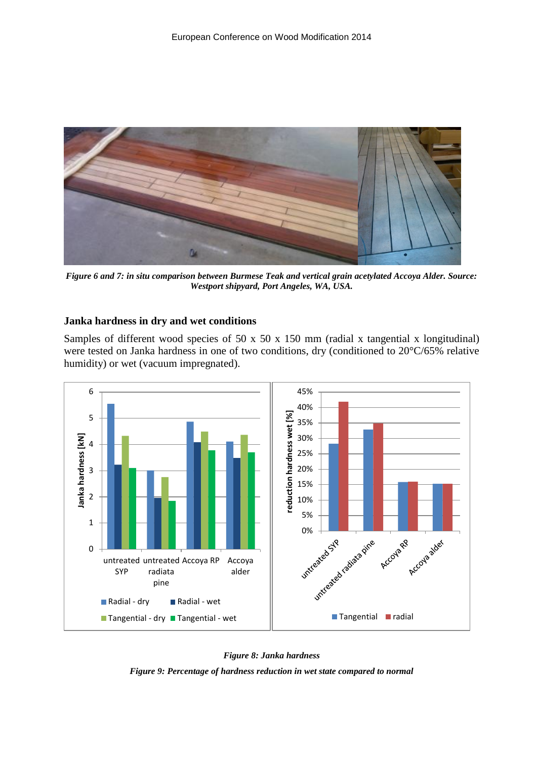

*Figure 6 and 7: in situ comparison between Burmese Teak and vertical grain acetylated Accoya Alder. Source: Westport shipyard, Port Angeles, WA, USA.*

### **Janka hardness in dry and wet conditions**

Samples of different wood species of 50 x 50 x 150 mm (radial x tangential x longitudinal) were tested on Janka hardness in one of two conditions, dry (conditioned to 20°C/65% relative humidity) or wet (vacuum impregnated).



*Figure 8: Janka hardness Figure 9: Percentage of hardness reduction in wet state compared to normal*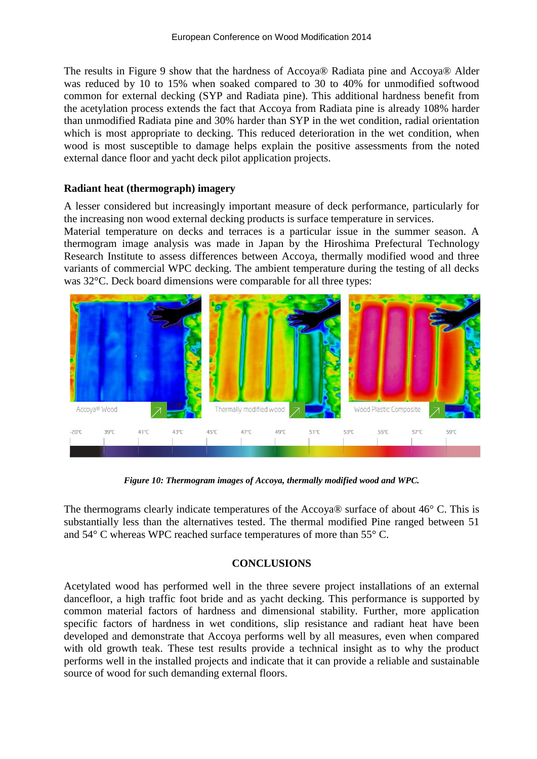The results in Figure 9 show that the hardness of Accoya® Radiata pine and Accoya® Alder was reduced by 10 to 15% when soaked compared to 30 to 40% for unmodified softwood common for external decking (SYP and Radiata pine). This additional hardness benefit from the acetylation process extends the fact that Accoya from Radiata pine is already 108% harder than unmodified Radiata pine and 30% harder than SYP in the wet condition, radial orientation which is most appropriate to decking. This reduced deterioration in the wet condition, when wood is most susceptible to damage helps explain the positive assessments from the noted external dance floor and yacht deck pilot application projects.

### **Radiant heat (thermograph) imagery**

A lesser considered but increasingly important measure of deck performance, particularly for the increasing non wood external decking products is surface temperature in services.

Material temperature on decks and terraces is a particular issue in the summer season. A thermogram image analysis was made in Japan by the Hiroshima Prefectural Technology Research Institute to assess differences between Accoya, thermally modified wood and three variants of commercial WPC decking. The ambient temperature during the testing of all decks was 32°C. Deck board dimensions were comparable for all three types:



*Figure 10: Thermogram images of Accoya, thermally modified wood and WPC.*

The thermograms clearly indicate temperatures of the Accoya® surface of about 46° C. This is substantially less than the alternatives tested. The thermal modified Pine ranged between 51 and 54° C whereas WPC reached surface temperatures of more than 55° C.

### **CONCLUSIONS**

Acetylated wood has performed well in the three severe project installations of an external dancefloor, a high traffic foot bride and as yacht decking. This performance is supported by common material factors of hardness and dimensional stability. Further, more application specific factors of hardness in wet conditions, slip resistance and radiant heat have been developed and demonstrate that Accoya performs well by all measures, even when compared with old growth teak. These test results provide a technical insight as to why the product performs well in the installed projects and indicate that it can provide a reliable and sustainable source of wood for such demanding external floors.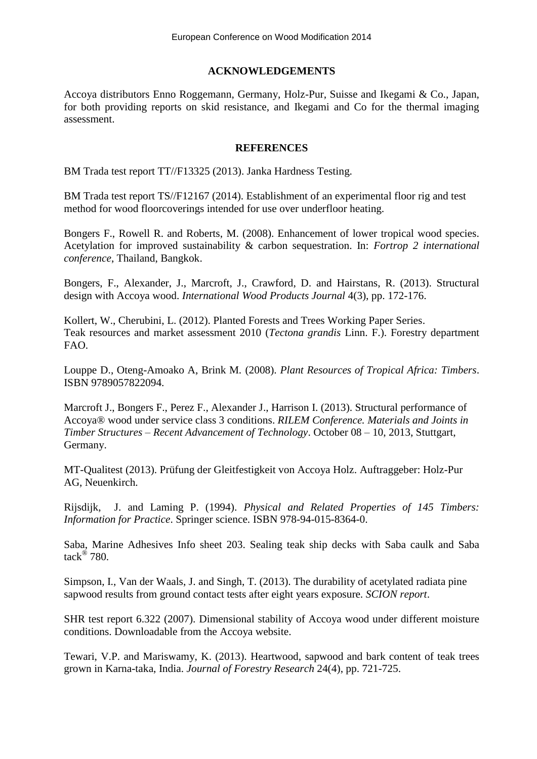# **ACKNOWLEDGEMENTS**

Accoya distributors Enno Roggemann, Germany, Holz-Pur, Suisse and Ikegami & Co., Japan, for both providing reports on skid resistance, and Ikegami and Co for the thermal imaging assessment.

### **REFERENCES**

BM Trada test report TT//F13325 (2013). Janka Hardness Testing.

BM Trada test report TS//F12167 (2014). Establishment of an experimental floor rig and test method for wood floorcoverings intended for use over underfloor heating.

Bongers F., Rowell R. and Roberts, M. (2008). Enhancement of lower tropical wood species. Acetylation for improved sustainability & carbon sequestration. In: *Fortrop 2 international conference*, Thailand, Bangkok.

Bongers, F., Alexander, J., Marcroft, J., Crawford, D. and Hairstans, R. (2013). Structural design with Accoya wood. *International Wood Products Journal* 4(3), pp. 172-176.

Kollert, W., Cherubini, L. (2012). Planted Forests and Trees Working Paper Series. Teak resources and market assessment 2010 (*Tectona grandis* Linn. F.). Forestry department FAO.

Louppe D., Oteng-Amoako A, Brink M*.* (2008). *Plant Resources of Tropical Africa: Timbers*. ISBN 9789057822094.

Marcroft J., Bongers F., Perez F., Alexander J., Harrison I. (2013). Structural performance of Accoya® wood under service class 3 conditions. *RILEM Conference. Materials and Joints in Timber Structures – Recent Advancement of Technology*. October 08 – 10, 2013, Stuttgart, Germany.

MT-Qualitest (2013). Prüfung der Gleitfestigkeit von Accoya Holz. Auftraggeber: Holz-Pur AG, Neuenkirch.

Rijsdijk, J. and Laming P. (1994). *Physical and Related Properties of 145 Timbers: Information for Practice*. Springer science. ISBN 978-94-015-8364-0.

Saba, Marine Adhesives Info sheet 203. Sealing teak ship decks with Saba caulk and Saba tack® 780.

Simpson, I., Van der Waals, J. and Singh, T. (2013). The durability of acetylated radiata pine sapwood results from ground contact tests after eight years exposure. *SCION report*.

SHR test report 6.322 (2007). Dimensional stability of Accoya wood under different moisture conditions. Downloadable from the Accoya website.

Tewari, V.P. and Mariswamy, K. (2013). Heartwood, sapwood and bark content of teak trees grown in Karna-taka, India. *Journal of Forestry Research* 24(4), pp. 721-725.